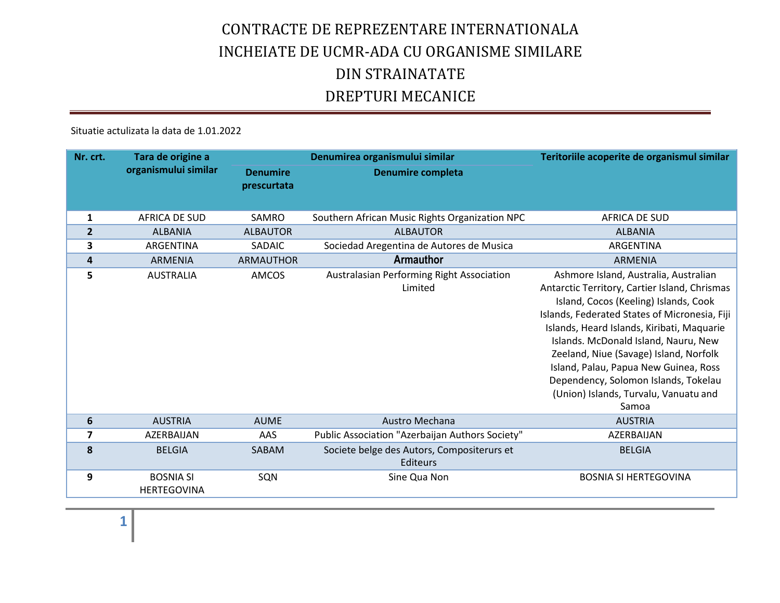Situatie actulizata la data de 1.01.2022

| Nr. crt.                | Tara de origine a                      |                                | Denumirea organismului similar                         | Teritoriile acoperite de organismul similar                                                                                                                                                                                                                                                                                                                                                                                                         |
|-------------------------|----------------------------------------|--------------------------------|--------------------------------------------------------|-----------------------------------------------------------------------------------------------------------------------------------------------------------------------------------------------------------------------------------------------------------------------------------------------------------------------------------------------------------------------------------------------------------------------------------------------------|
|                         | organismului similar                   | <b>Denumire</b><br>prescurtata | <b>Denumire completa</b>                               |                                                                                                                                                                                                                                                                                                                                                                                                                                                     |
| 1                       | AFRICA DE SUD                          | SAMRO                          | Southern African Music Rights Organization NPC         | AFRICA DE SUD                                                                                                                                                                                                                                                                                                                                                                                                                                       |
| $\overline{2}$          | <b>ALBANIA</b>                         | <b>ALBAUTOR</b>                | <b>ALBAUTOR</b>                                        | <b>ALBANIA</b>                                                                                                                                                                                                                                                                                                                                                                                                                                      |
| 3                       | ARGENTINA                              | SADAIC                         | Sociedad Aregentina de Autores de Musica               | <b>ARGENTINA</b>                                                                                                                                                                                                                                                                                                                                                                                                                                    |
| 4                       | <b>ARMENIA</b>                         | <b>ARMAUTHOR</b>               | Armauthor                                              | <b>ARMENIA</b>                                                                                                                                                                                                                                                                                                                                                                                                                                      |
| 5                       | <b>AUSTRALIA</b>                       | AMCOS                          | Australasian Performing Right Association<br>Limited   | Ashmore Island, Australia, Australian<br>Antarctic Territory, Cartier Island, Chrismas<br>Island, Cocos (Keeling) Islands, Cook<br>Islands, Federated States of Micronesia, Fiji<br>Islands, Heard Islands, Kiribati, Maquarie<br>Islands. McDonald Island, Nauru, New<br>Zeeland, Niue (Savage) Island, Norfolk<br>Island, Palau, Papua New Guinea, Ross<br>Dependency, Solomon Islands, Tokelau<br>(Union) Islands, Turvalu, Vanuatu and<br>Samoa |
| 6                       | <b>AUSTRIA</b>                         | <b>AUME</b>                    | Austro Mechana                                         | <b>AUSTRIA</b>                                                                                                                                                                                                                                                                                                                                                                                                                                      |
| $\overline{\mathbf{z}}$ | AZERBAIJAN                             | AAS                            | Public Association "Azerbaijan Authors Society"        | AZERBAIJAN                                                                                                                                                                                                                                                                                                                                                                                                                                          |
| 8                       | <b>BELGIA</b>                          | SABAM                          | Societe belge des Autors, Compositerurs et<br>Editeurs | <b>BELGIA</b>                                                                                                                                                                                                                                                                                                                                                                                                                                       |
| 9                       | <b>BOSNIA SI</b><br><b>HERTEGOVINA</b> | SQN                            | Sine Qua Non                                           | <b>BOSNIA SI HERTEGOVINA</b>                                                                                                                                                                                                                                                                                                                                                                                                                        |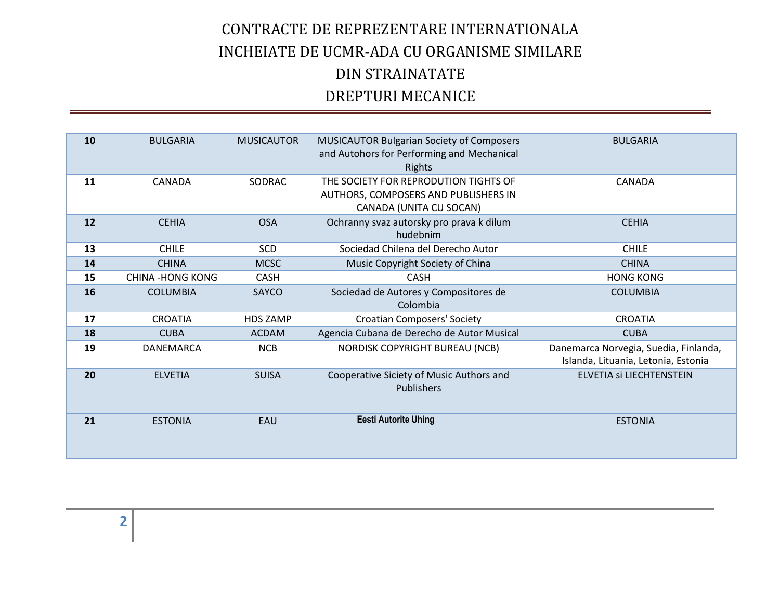| 10 | <b>BULGARIA</b>         | <b>MUSICAUTOR</b> | <b>MUSICAUTOR Bulgarian Society of Composers</b><br>and Autohors for Performing and Mechanical<br><b>Rights</b> | <b>BULGARIA</b>                                                              |
|----|-------------------------|-------------------|-----------------------------------------------------------------------------------------------------------------|------------------------------------------------------------------------------|
| 11 | CANADA                  | <b>SODRAC</b>     | THE SOCIETY FOR REPRODUTION TIGHTS OF<br>AUTHORS, COMPOSERS AND PUBLISHERS IN<br>CANADA (UNITA CU SOCAN)        | CANADA                                                                       |
| 12 | <b>CEHIA</b>            | <b>OSA</b>        | Ochranny svaz autorsky pro prava k dilum<br>hudebnim                                                            | <b>CEHIA</b>                                                                 |
| 13 | <b>CHILE</b>            | <b>SCD</b>        | Sociedad Chilena del Derecho Autor                                                                              | <b>CHILE</b>                                                                 |
| 14 | <b>CHINA</b>            | <b>MCSC</b>       | Music Copyright Society of China                                                                                | <b>CHINA</b>                                                                 |
| 15 | <b>CHINA -HONG KONG</b> | <b>CASH</b>       | <b>CASH</b>                                                                                                     | <b>HONG KONG</b>                                                             |
| 16 | <b>COLUMBIA</b>         | SAYCO             | Sociedad de Autores y Compositores de<br>Colombia                                                               | <b>COLUMBIA</b>                                                              |
| 17 | <b>CROATIA</b>          | <b>HDS ZAMP</b>   | <b>Croatian Composers' Society</b>                                                                              | <b>CROATIA</b>                                                               |
| 18 | <b>CUBA</b>             | <b>ACDAM</b>      | Agencia Cubana de Derecho de Autor Musical                                                                      | <b>CUBA</b>                                                                  |
| 19 | <b>DANEMARCA</b>        | <b>NCB</b>        | NORDISK COPYRIGHT BUREAU (NCB)                                                                                  | Danemarca Norvegia, Suedia, Finlanda,<br>Islanda, Lituania, Letonia, Estonia |
| 20 | <b>ELVETIA</b>          | <b>SUISA</b>      | Cooperative Siciety of Music Authors and<br>Publishers                                                          | ELVETIA Si LIECHTENSTEIN                                                     |
| 21 | <b>ESTONIA</b>          | EAU               | <b>Eesti Autorite Uhing</b>                                                                                     | <b>ESTONIA</b>                                                               |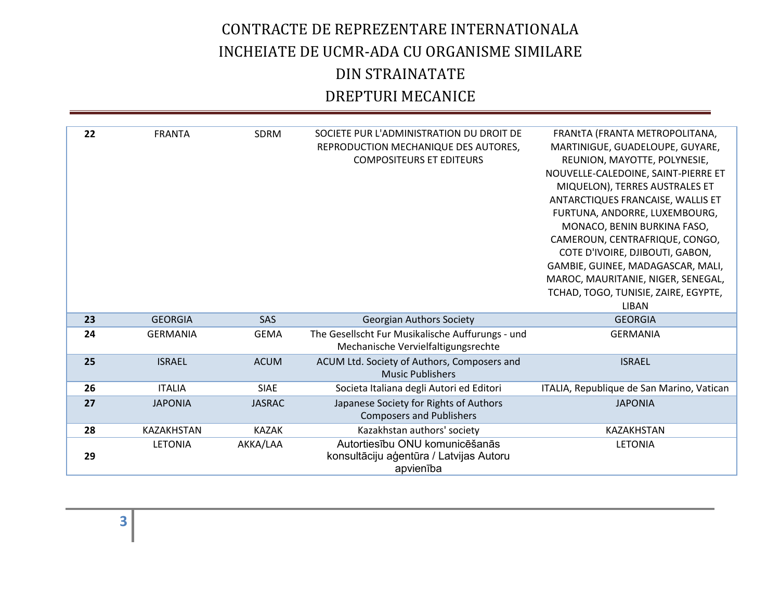| 22 | <b>FRANTA</b>     | <b>SDRM</b>   | SOCIETE PUR L'ADMINISTRATION DU DROIT DE<br>REPRODUCTION MECHANIQUE DES AUTORES,<br><b>COMPOSITEURS ET EDITEURS</b> | FRANTA (FRANTA METROPOLITANA,<br>MARTINIGUE, GUADELOUPE, GUYARE,<br>REUNION, MAYOTTE, POLYNESIE,<br>NOUVELLE-CALEDOINE, SAINT-PIERRE ET<br>MIQUELON), TERRES AUSTRALES ET<br>ANTARCTIQUES FRANCAISE, WALLIS ET<br>FURTUNA, ANDORRE, LUXEMBOURG,<br>MONACO, BENIN BURKINA FASO,<br>CAMEROUN, CENTRAFRIQUE, CONGO,<br>COTE D'IVOIRE, DJIBOUTI, GABON,<br>GAMBIE, GUINEE, MADAGASCAR, MALI,<br>MAROC, MAURITANIE, NIGER, SENEGAL,<br>TCHAD, TOGO, TUNISIE, ZAIRE, EGYPTE,<br><b>LIBAN</b> |
|----|-------------------|---------------|---------------------------------------------------------------------------------------------------------------------|----------------------------------------------------------------------------------------------------------------------------------------------------------------------------------------------------------------------------------------------------------------------------------------------------------------------------------------------------------------------------------------------------------------------------------------------------------------------------------------|
| 23 | <b>GEORGIA</b>    | SAS           | <b>Georgian Authors Society</b>                                                                                     | <b>GEORGIA</b>                                                                                                                                                                                                                                                                                                                                                                                                                                                                         |
| 24 | <b>GERMANIA</b>   | <b>GEMA</b>   | The Gesellscht Fur Musikalische Auffurungs - und<br>Mechanische Vervielfaltigungsrechte                             | <b>GERMANIA</b>                                                                                                                                                                                                                                                                                                                                                                                                                                                                        |
| 25 | <b>ISRAEL</b>     | <b>ACUM</b>   | ACUM Ltd. Society of Authors, Composers and<br><b>Music Publishers</b>                                              | <b>ISRAEL</b>                                                                                                                                                                                                                                                                                                                                                                                                                                                                          |
| 26 | <b>ITALIA</b>     | <b>SIAE</b>   | Societa Italiana degli Autori ed Editori                                                                            | ITALIA, Republique de San Marino, Vatican                                                                                                                                                                                                                                                                                                                                                                                                                                              |
| 27 | <b>JAPONIA</b>    | <b>JASRAC</b> | Japanese Society for Rights of Authors<br><b>Composers and Publishers</b>                                           | <b>JAPONIA</b>                                                                                                                                                                                                                                                                                                                                                                                                                                                                         |
| 28 | <b>KAZAKHSTAN</b> | <b>KAZAK</b>  | Kazakhstan authors' society                                                                                         | <b>KAZAKHSTAN</b>                                                                                                                                                                                                                                                                                                                                                                                                                                                                      |
| 29 | <b>LETONIA</b>    | AKKA/LAA      | Autortiesību ONU komunicēšanās<br>konsultāciju aģentūra / Latvijas Autoru<br>apvienība                              | LETONIA                                                                                                                                                                                                                                                                                                                                                                                                                                                                                |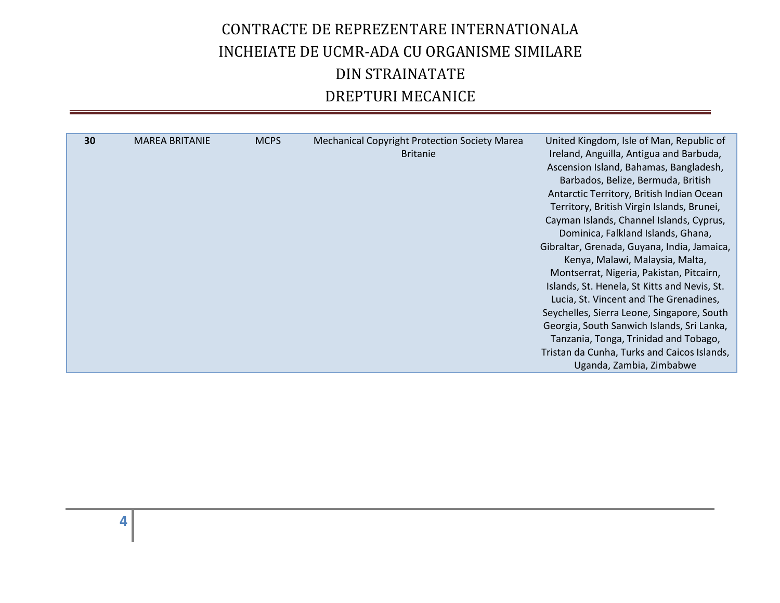| 30<br><b>MCPS</b><br><b>MAREA BRITANIE</b><br><b>Mechanical Copyright Protection Society Marea</b><br><b>Britanie</b> | United Kingdom, Isle of Man, Republic of<br>Ireland, Anguilla, Antigua and Barbuda,<br>Ascension Island, Bahamas, Bangladesh,<br>Barbados, Belize, Bermuda, British                                                                                                                                                                                                                                                                                                                                                                                                                   |
|-----------------------------------------------------------------------------------------------------------------------|---------------------------------------------------------------------------------------------------------------------------------------------------------------------------------------------------------------------------------------------------------------------------------------------------------------------------------------------------------------------------------------------------------------------------------------------------------------------------------------------------------------------------------------------------------------------------------------|
|                                                                                                                       | Antarctic Territory, British Indian Ocean<br>Territory, British Virgin Islands, Brunei,<br>Cayman Islands, Channel Islands, Cyprus,<br>Dominica, Falkland Islands, Ghana,<br>Gibraltar, Grenada, Guyana, India, Jamaica,<br>Kenya, Malawi, Malaysia, Malta,<br>Montserrat, Nigeria, Pakistan, Pitcairn,<br>Islands, St. Henela, St Kitts and Nevis, St.<br>Lucia, St. Vincent and The Grenadines,<br>Seychelles, Sierra Leone, Singapore, South<br>Georgia, South Sanwich Islands, Sri Lanka,<br>Tanzania, Tonga, Trinidad and Tobago,<br>Tristan da Cunha, Turks and Caicos Islands, |
|                                                                                                                       | Uganda, Zambia, Zimbabwe                                                                                                                                                                                                                                                                                                                                                                                                                                                                                                                                                              |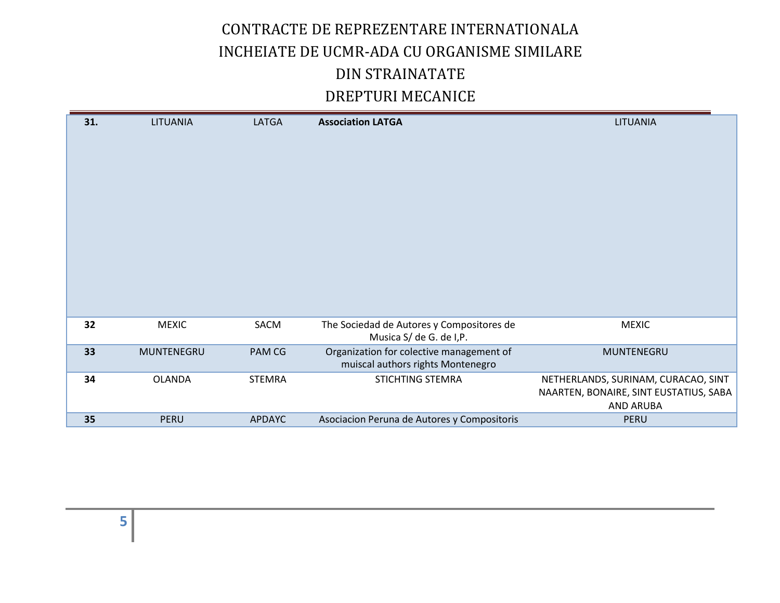| 31. | <b>LITUANIA</b> | LATGA         | <b>Association LATGA</b>                                                      | <b>LITUANIA</b>                                            |
|-----|-----------------|---------------|-------------------------------------------------------------------------------|------------------------------------------------------------|
|     |                 |               |                                                                               |                                                            |
|     |                 |               |                                                                               |                                                            |
|     |                 |               |                                                                               |                                                            |
|     |                 |               |                                                                               |                                                            |
|     |                 |               |                                                                               |                                                            |
|     |                 |               |                                                                               |                                                            |
|     |                 |               |                                                                               |                                                            |
|     |                 |               |                                                                               |                                                            |
|     |                 |               |                                                                               |                                                            |
|     |                 |               |                                                                               |                                                            |
| 32  | <b>MEXIC</b>    | SACM          | The Sociedad de Autores y Compositores de<br>Musica S/ de G. de I,P.          | <b>MEXIC</b>                                               |
| 33  | MUNTENEGRU      | PAM CG        | Organization for colective management of<br>muiscal authors rights Montenegro | MUNTENEGRU                                                 |
| 34  | <b>OLANDA</b>   | <b>STEMRA</b> | <b>STICHTING STEMRA</b>                                                       | NETHERLANDS, SURINAM, CURACAO, SINT                        |
|     |                 |               |                                                                               | NAARTEN, BONAIRE, SINT EUSTATIUS, SABA<br><b>AND ARUBA</b> |
| 35  | <b>PERU</b>     | <b>APDAYC</b> | Asociacion Peruna de Autores y Compositoris                                   | <b>PERU</b>                                                |